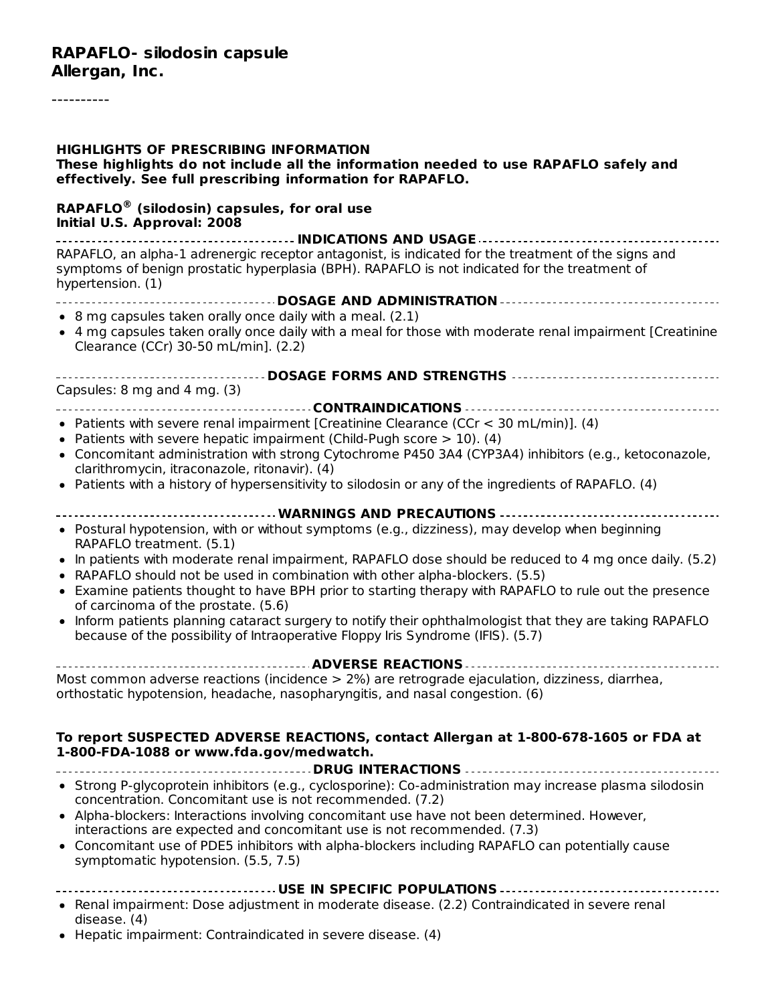#### **HIGHLIGHTS OF PRESCRIBING INFORMATION These highlights do not include all the information needed to use RAPAFLO safely and effectively. See full prescribing information for RAPAFLO. RAPAFLO (silodosin) capsules, for oral use ®Initial U.S. Approval: 2008 INDICATIONS AND USAGE** RAPAFLO, an alpha-1 adrenergic receptor antagonist, is indicated for the treatment of the signs and symptoms of benign prostatic hyperplasia (BPH). RAPAFLO is not indicated for the treatment of hypertension. (1) **DOSAGE AND ADMINISTRATION**  $\bullet$  8 mg capsules taken orally once daily with a meal. (2.1) 4 mg capsules taken orally once daily with a meal for those with moderate renal impairment [Creatinine Clearance (CCr) 30-50 mL/min]. (2.2) **DOSAGE FORMS AND STRENGTHS** Capsules: 8 mg and 4 mg. (3) **CONTRAINDICATIONS** • Patients with severe renal impairment [Creatinine Clearance (CCr  $<$  30 mL/min)]. (4) • Patients with severe hepatic impairment (Child-Pugh score  $> 10$ ). (4) Concomitant administration with strong Cytochrome P450 3A4 (CYP3A4) inhibitors (e.g., ketoconazole, clarithromycin, itraconazole, ritonavir). (4) • Patients with a history of hypersensitivity to silodosin or any of the ingredients of RAPAFLO. (4) **WARNINGS AND PRECAUTIONS** Postural hypotension, with or without symptoms (e.g., dizziness), may develop when beginning RAPAFLO treatment. (5.1) In patients with moderate renal impairment, RAPAFLO dose should be reduced to 4 mg once daily. (5.2) RAPAFLO should not be used in combination with other alpha-blockers. (5.5) Examine patients thought to have BPH prior to starting therapy with RAPAFLO to rule out the presence of carcinoma of the prostate. (5.6) Inform patients planning cataract surgery to notify their ophthalmologist that they are taking RAPAFLO  $\bullet$ because of the possibility of Intraoperative Floppy Iris Syndrome (IFIS). (5.7) **ADVERSE REACTIONS** Most common adverse reactions (incidence > 2%) are retrograde ejaculation, dizziness, diarrhea, orthostatic hypotension, headache, nasopharyngitis, and nasal congestion. (6) **To report SUSPECTED ADVERSE REACTIONS, contact Allergan at 1-800-678-1605 or FDA at 1-800-FDA-1088 or www.fda.gov/medwatch. DRUG INTERACTIONS** Strong P-glycoprotein inhibitors (e.g., cyclosporine): Co-administration may increase plasma silodosin concentration. Concomitant use is not recommended. (7.2) Alpha-blockers: Interactions involving concomitant use have not been determined. However, interactions are expected and concomitant use is not recommended. (7.3) Concomitant use of PDE5 inhibitors with alpha-blockers including RAPAFLO can potentially cause symptomatic hypotension. (5.5, 7.5) **USE IN SPECIFIC POPULATIONS**

- Renal impairment: Dose adjustment in moderate disease. (2.2) Contraindicated in severe renal disease. (4)
- Hepatic impairment: Contraindicated in severe disease. (4)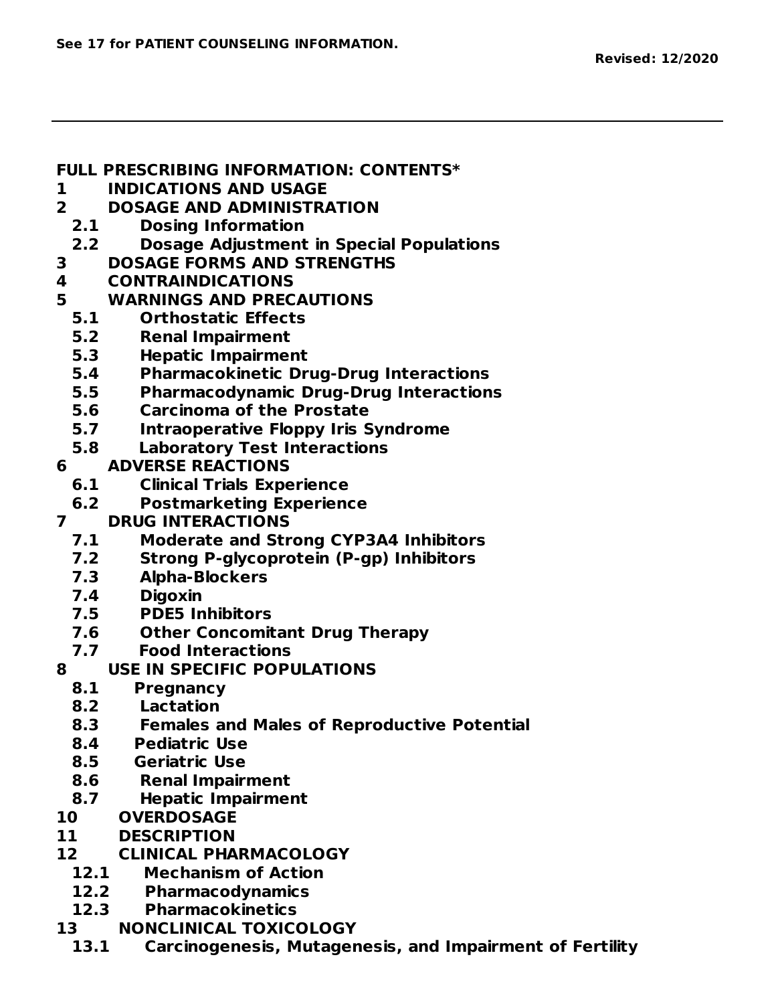#### **FULL PRESCRIBING INFORMATION: CONTENTS\***

- **1 INDICATIONS AND USAGE**
- **2 DOSAGE AND ADMINISTRATION**
	- **2.1 Dosing Information**
- **2.2 Dosage Adjustment in Special Populations**
- **3 DOSAGE FORMS AND STRENGTHS**
- **4 CONTRAINDICATIONS**
- **5 WARNINGS AND PRECAUTIONS**
	- **5.1 Orthostatic Effects**
	- **5.2 Renal Impairment**
	- **5.3 Hepatic Impairment**
	- **5.4 Pharmacokinetic Drug-Drug Interactions**
	- **5.5 Pharmacodynamic Drug-Drug Interactions**
	- **5.6 Carcinoma of the Prostate**
	- **5.7 Intraoperative Floppy Iris Syndrome**
	- **5.8 Laboratory Test Interactions**
- **6 ADVERSE REACTIONS**
	- **6.1 Clinical Trials Experience**
	- **6.2 Postmarketing Experience**
- **7 DRUG INTERACTIONS**
	- **7.1 Moderate and Strong CYP3A4 Inhibitors**
	- **7.2 Strong P-glycoprotein (P-gp) Inhibitors**
	- **7.3 Alpha-Blockers**
	- **7.4 Digoxin**
	- **7.5 PDE5 Inhibitors**
	- **7.6 Other Concomitant Drug Therapy**
	- **7.7 Food Interactions**
- **8 USE IN SPECIFIC POPULATIONS**
	- **8.1 Pregnancy**
	- **8.2 Lactation**
	- **8.3 Females and Males of Reproductive Potential**
	- **8.4 Pediatric Use**
	- **8.5 Geriatric Use**
	- **8.6 Renal Impairment**
	- **8.7 Hepatic Impairment**
- **10 OVERDOSAGE**
- **11 DESCRIPTION**
- **12 CLINICAL PHARMACOLOGY**
	- **12.1 Mechanism of Action**
	- **12.2 Pharmacodynamics**
	- **12.3 Pharmacokinetics**
- **13 NONCLINICAL TOXICOLOGY**
- **13.1 Carcinogenesis, Mutagenesis, and Impairment of Fertility**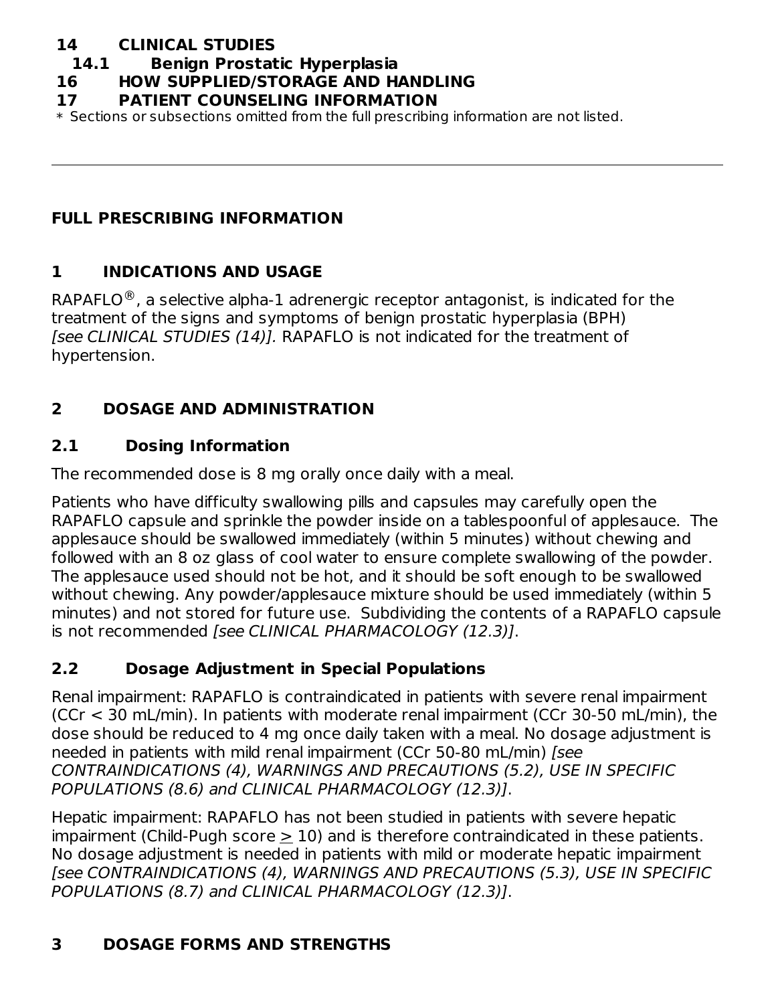### **14 CLINICAL STUDIES**

#### **14.1 Benign Prostatic Hyperplasia**

#### **16 HOW SUPPLIED/STORAGE AND HANDLING**

#### **17 PATIENT COUNSELING INFORMATION**

\* Sections or subsections omitted from the full prescribing information are not listed.

### **FULL PRESCRIBING INFORMATION**

### **1 INDICATIONS AND USAGE**

RAPAFLO $^\circledR$ , a selective alpha-1 adrenergic receptor antagonist, is indicated for the treatment of the signs and symptoms of benign prostatic hyperplasia (BPH) [see CLINICAL STUDIES (14)]. RAPAFLO is not indicated for the treatment of hypertension.

## **2 DOSAGE AND ADMINISTRATION**

### **2.1 Dosing Information**

The recommended dose is 8 mg orally once daily with a meal.

Patients who have difficulty swallowing pills and capsules may carefully open the RAPAFLO capsule and sprinkle the powder inside on a tablespoonful of applesauce. The applesauce should be swallowed immediately (within 5 minutes) without chewing and followed with an 8 oz glass of cool water to ensure complete swallowing of the powder. The applesauce used should not be hot, and it should be soft enough to be swallowed without chewing. Any powder/applesauce mixture should be used immediately (within 5 minutes) and not stored for future use. Subdividing the contents of a RAPAFLO capsule is not recommended [see CLINICAL PHARMACOLOGY (12.3)].

## **2.2 Dosage Adjustment in Special Populations**

Renal impairment: RAPAFLO is contraindicated in patients with severe renal impairment (CCr < 30 mL/min). In patients with moderate renal impairment (CCr 30-50 mL/min), the dose should be reduced to 4 mg once daily taken with a meal. No dosage adjustment is needed in patients with mild renal impairment (CCr 50-80 mL/min) [see CONTRAINDICATIONS (4), WARNINGS AND PRECAUTIONS (5.2), USE IN SPECIFIC POPULATIONS (8.6) and CLINICAL PHARMACOLOGY (12.3)].

Hepatic impairment: RAPAFLO has not been studied in patients with severe hepatic impairment (Child-Pugh score > 10) and is therefore contraindicated in these patients. No dosage adjustment is needed in patients with mild or moderate hepatic impairment [see CONTRAINDICATIONS (4), WARNINGS AND PRECAUTIONS (5.3), USE IN SPECIFIC POPULATIONS (8.7) and CLINICAL PHARMACOLOGY (12.3)].

## **3 DOSAGE FORMS AND STRENGTHS**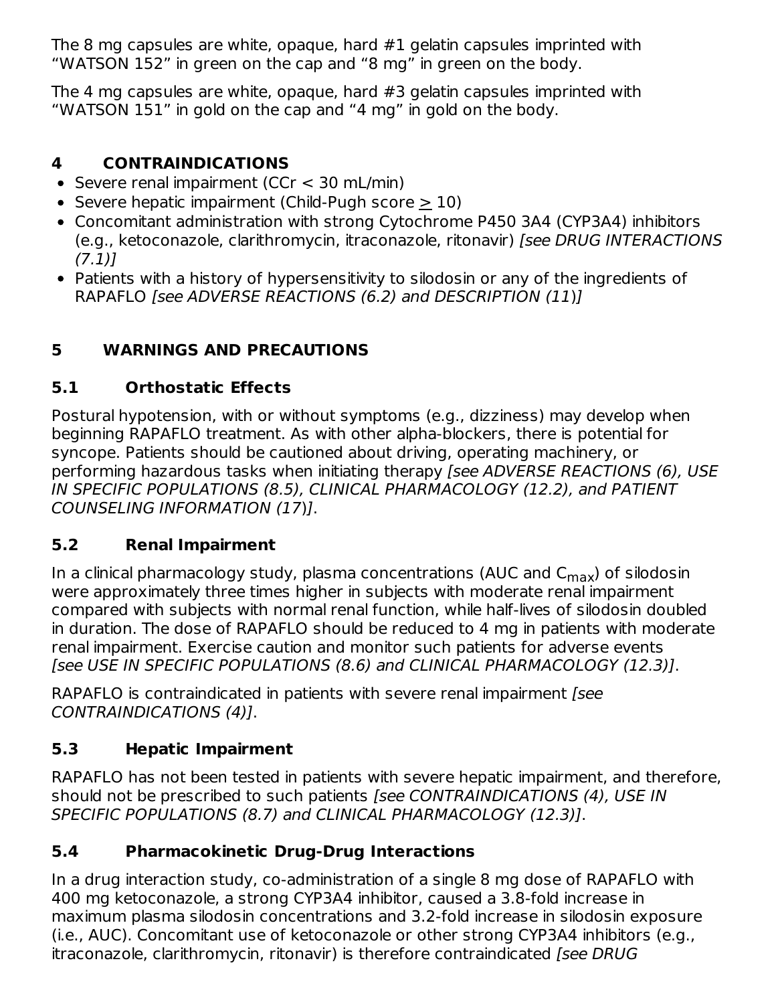The 8 mg capsules are white, opaque, hard #1 gelatin capsules imprinted with "WATSON 152" in green on the cap and "8 mg" in green on the body.

The 4 mg capsules are white, opaque, hard #3 gelatin capsules imprinted with "WATSON 151" in gold on the cap and "4 mg" in gold on the body.

# **4 CONTRAINDICATIONS**

- Severe renal impairment (CCr  $<$  30 mL/min)
- Severe hepatic impairment (Child-Pugh score  $> 10$ )
- Concomitant administration with strong Cytochrome P450 3A4 (CYP3A4) inhibitors (e.g., ketoconazole, clarithromycin, itraconazole, ritonavir) [see DRUG INTERACTIONS  $(7.1)$ ]
- Patients with a history of hypersensitivity to silodosin or any of the ingredients of RAPAFLO [see ADVERSE REACTIONS (6.2) and DESCRIPTION (11)]

# **5 WARNINGS AND PRECAUTIONS**

# **5.1 Orthostatic Effects**

Postural hypotension, with or without symptoms (e.g., dizziness) may develop when beginning RAPAFLO treatment. As with other alpha-blockers, there is potential for syncope. Patients should be cautioned about driving, operating machinery, or performing hazardous tasks when initiating therapy [see ADVERSE REACTIONS (6), USE IN SPECIFIC POPULATIONS (8.5), CLINICAL PHARMACOLOGY (12.2), and PATIENT COUNSELING INFORMATION (17)].

# **5.2 Renal Impairment**

In a clinical pharmacology study, plasma concentrations (AUC and C<sub>max</sub>) of silodosin were approximately three times higher in subjects with moderate renal impairment compared with subjects with normal renal function, while half-lives of silodosin doubled in duration. The dose of RAPAFLO should be reduced to 4 mg in patients with moderate renal impairment. Exercise caution and monitor such patients for adverse events [see USE IN SPECIFIC POPULATIONS (8.6) and CLINICAL PHARMACOLOGY (12.3)].

RAPAFLO is contraindicated in patients with severe renal impairment [see CONTRAINDICATIONS (4)].

# **5.3 Hepatic Impairment**

RAPAFLO has not been tested in patients with severe hepatic impairment, and therefore, should not be prescribed to such patients [see CONTRAINDICATIONS (4), USE IN SPECIFIC POPULATIONS (8.7) and CLINICAL PHARMACOLOGY (12.3)].

# **5.4 Pharmacokinetic Drug-Drug Interactions**

In a drug interaction study, co-administration of a single 8 mg dose of RAPAFLO with 400 mg ketoconazole, a strong CYP3A4 inhibitor, caused a 3.8-fold increase in maximum plasma silodosin concentrations and 3.2-fold increase in silodosin exposure (i.e., AUC). Concomitant use of ketoconazole or other strong CYP3A4 inhibitors (e.g., itraconazole, clarithromycin, ritonavir) is therefore contraindicated [see DRUG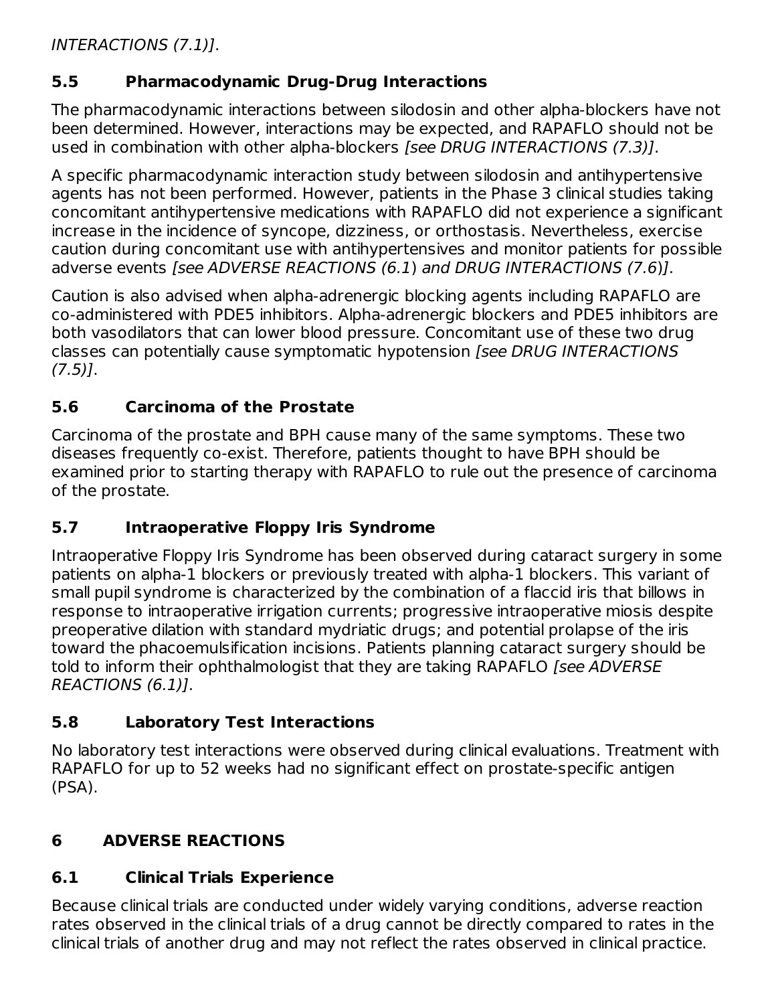INTERACTIONS (7.1)].

## **5.5 Pharmacodynamic Drug-Drug Interactions**

The pharmacodynamic interactions between silodosin and other alpha-blockers have not been determined. However, interactions may be expected, and RAPAFLO should not be used in combination with other alpha-blockers [see DRUG INTERACTIONS (7.3)].

A specific pharmacodynamic interaction study between silodosin and antihypertensive agents has not been performed. However, patients in the Phase 3 clinical studies taking concomitant antihypertensive medications with RAPAFLO did not experience a significant increase in the incidence of syncope, dizziness, or orthostasis. Nevertheless, exercise caution during concomitant use with antihypertensives and monitor patients for possible adverse events [see ADVERSE REACTIONS (6.1) and DRUG INTERACTIONS (7.6)].

Caution is also advised when alpha-adrenergic blocking agents including RAPAFLO are co-administered with PDE5 inhibitors. Alpha-adrenergic blockers and PDE5 inhibitors are both vasodilators that can lower blood pressure. Concomitant use of these two drug classes can potentially cause symptomatic hypotension [see DRUG INTERACTIONS  $(7.5)$ ].

## **5.6 Carcinoma of the Prostate**

Carcinoma of the prostate and BPH cause many of the same symptoms. These two diseases frequently co-exist. Therefore, patients thought to have BPH should be examined prior to starting therapy with RAPAFLO to rule out the presence of carcinoma of the prostate.

# **5.7 Intraoperative Floppy Iris Syndrome**

Intraoperative Floppy Iris Syndrome has been observed during cataract surgery in some patients on alpha-1 blockers or previously treated with alpha-1 blockers. This variant of small pupil syndrome is characterized by the combination of a flaccid iris that billows in response to intraoperative irrigation currents; progressive intraoperative miosis despite preoperative dilation with standard mydriatic drugs; and potential prolapse of the iris toward the phacoemulsification incisions. Patients planning cataract surgery should be told to inform their ophthalmologist that they are taking RAPAFLO [see ADVERSE REACTIONS (6.1)].

## **5.8 Laboratory Test Interactions**

No laboratory test interactions were observed during clinical evaluations. Treatment with RAPAFLO for up to 52 weeks had no significant effect on prostate-specific antigen (PSA).

# **6 ADVERSE REACTIONS**

# **6.1 Clinical Trials Experience**

Because clinical trials are conducted under widely varying conditions, adverse reaction rates observed in the clinical trials of a drug cannot be directly compared to rates in the clinical trials of another drug and may not reflect the rates observed in clinical practice.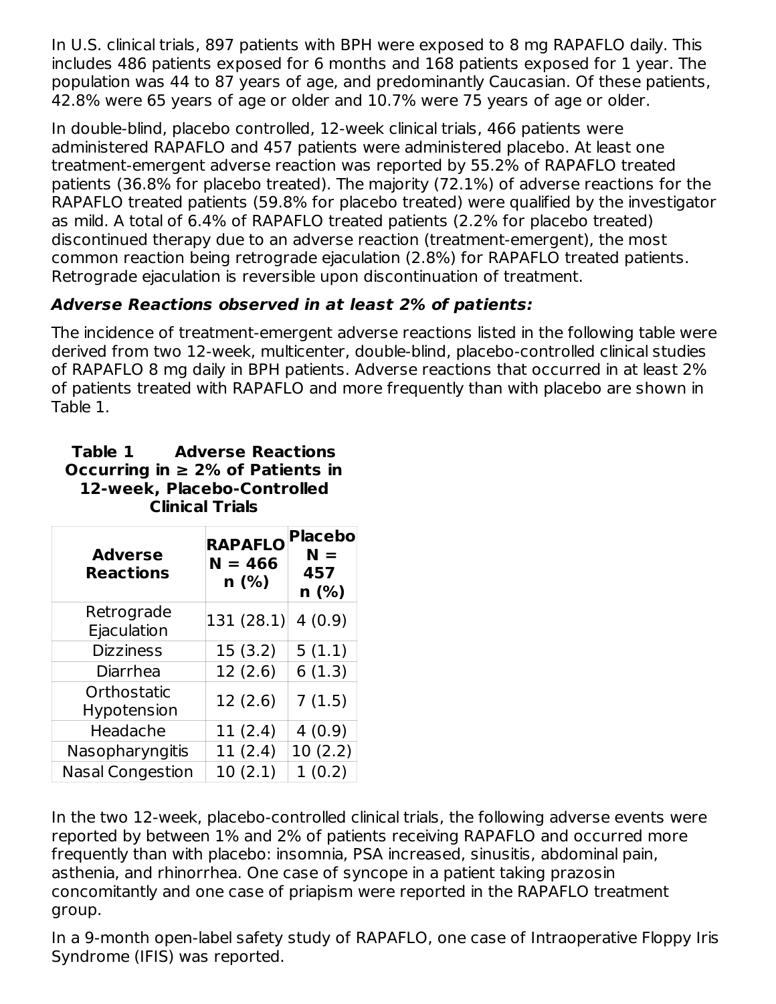In U.S. clinical trials, 897 patients with BPH were exposed to 8 mg RAPAFLO daily. This includes 486 patients exposed for 6 months and 168 patients exposed for 1 year. The population was 44 to 87 years of age, and predominantly Caucasian. Of these patients, 42.8% were 65 years of age or older and 10.7% were 75 years of age or older.

In double-blind, placebo controlled, 12-week clinical trials, 466 patients were administered RAPAFLO and 457 patients were administered placebo. At least one treatment-emergent adverse reaction was reported by 55.2% of RAPAFLO treated patients (36.8% for placebo treated). The majority (72.1%) of adverse reactions for the RAPAFLO treated patients (59.8% for placebo treated) were qualified by the investigator as mild. A total of 6.4% of RAPAFLO treated patients (2.2% for placebo treated) discontinued therapy due to an adverse reaction (treatment-emergent), the most common reaction being retrograde ejaculation (2.8%) for RAPAFLO treated patients. Retrograde ejaculation is reversible upon discontinuation of treatment.

# **Adverse Reactions observed in at least 2% of patients:**

The incidence of treatment-emergent adverse reactions listed in the following table were derived from two 12-week, multicenter, double-blind, placebo-controlled clinical studies of RAPAFLO 8 mg daily in BPH patients. Adverse reactions that occurred in at least 2% of patients treated with RAPAFLO and more frequently than with placebo are shown in Table 1.

#### **Table 1 Adverse Reactions Occurring in ≥ 2% of Patients in 12-week, Placebo-Controlled Clinical Trials**

| <b>Adverse</b><br><b>Reactions</b> | <b>RAPAFLO</b><br>$N = 466$<br>n(%) | <b>Placebo</b><br>$N =$<br>457<br>n (%) |
|------------------------------------|-------------------------------------|-----------------------------------------|
| Retrograde                         | 131 (28.1)                          | 4(0.9)                                  |
| Ejaculation                        |                                     |                                         |
| <b>Dizziness</b>                   | 15(3.2)                             | 5(1.1)                                  |
| Diarrhea                           | 12(2.6)                             | 6(1.3)                                  |
| Orthostatic                        | 12(2.6)                             | 7(1.5)                                  |
| <b>Hypotension</b>                 |                                     |                                         |
| Headache                           | 11(2.4)                             | 4(0.9)                                  |
| Nasopharyngitis                    | 11 (2.4)                            | 10(2.2)                                 |
| <b>Nasal Congestion</b>            | 10(2.1)                             | 1(0.2)                                  |

In the two 12-week, placebo-controlled clinical trials, the following adverse events were reported by between 1% and 2% of patients receiving RAPAFLO and occurred more frequently than with placebo: insomnia, PSA increased, sinusitis, abdominal pain, asthenia, and rhinorrhea. One case of syncope in a patient taking prazosin concomitantly and one case of priapism were reported in the RAPAFLO treatment group.

In a 9-month open-label safety study of RAPAFLO, one case of Intraoperative Floppy Iris Syndrome (IFIS) was reported.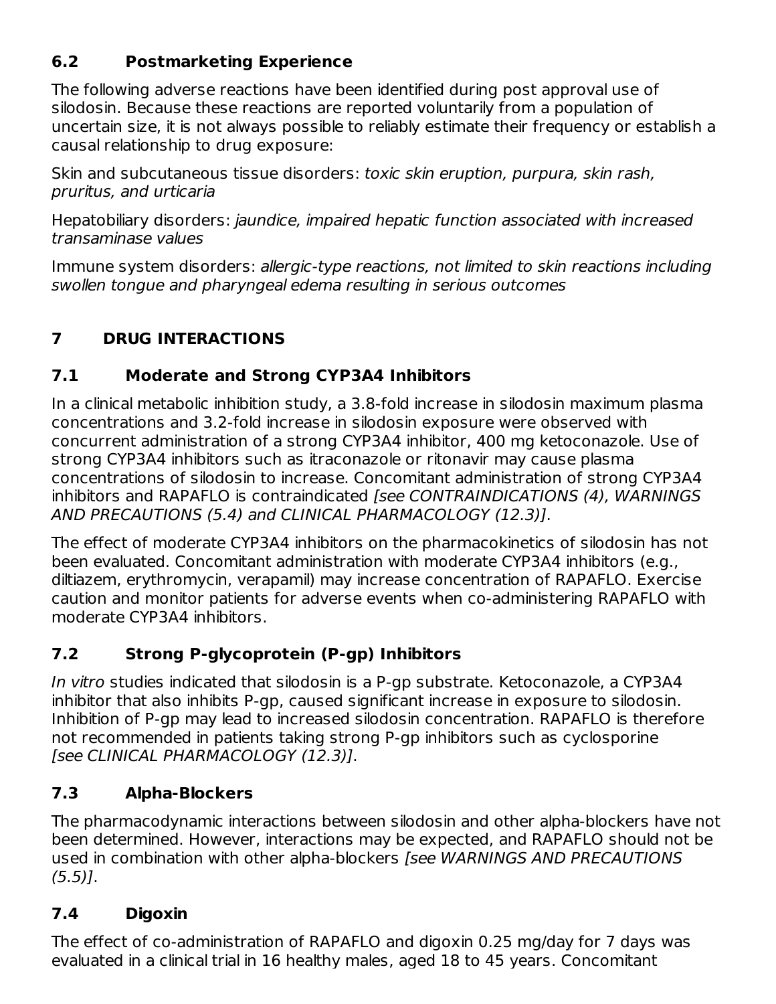## **6.2 Postmarketing Experience**

The following adverse reactions have been identified during post approval use of silodosin. Because these reactions are reported voluntarily from a population of uncertain size, it is not always possible to reliably estimate their frequency or establish a causal relationship to drug exposure:

Skin and subcutaneous tissue disorders: toxic skin eruption, purpura, skin rash, pruritus, and urticaria

Hepatobiliary disorders: jaundice, impaired hepatic function associated with increased transaminase values

Immune system disorders: allergic-type reactions, not limited to skin reactions including swollen tongue and pharyngeal edema resulting in serious outcomes

# **7 DRUG INTERACTIONS**

## **7.1 Moderate and Strong CYP3A4 Inhibitors**

In a clinical metabolic inhibition study, a 3.8-fold increase in silodosin maximum plasma concentrations and 3.2-fold increase in silodosin exposure were observed with concurrent administration of a strong CYP3A4 inhibitor, 400 mg ketoconazole. Use of strong CYP3A4 inhibitors such as itraconazole or ritonavir may cause plasma concentrations of silodosin to increase. Concomitant administration of strong CYP3A4 inhibitors and RAPAFLO is contraindicated *[see CONTRAINDICATIONS (4), WARNINGS* AND PRECAUTIONS (5.4) and CLINICAL PHARMACOLOGY (12.3)].

The effect of moderate CYP3A4 inhibitors on the pharmacokinetics of silodosin has not been evaluated. Concomitant administration with moderate CYP3A4 inhibitors (e.g., diltiazem, erythromycin, verapamil) may increase concentration of RAPAFLO. Exercise caution and monitor patients for adverse events when co-administering RAPAFLO with moderate CYP3A4 inhibitors.

# **7.2 Strong P-glycoprotein (P-gp) Inhibitors**

In vitro studies indicated that silodosin is a P-gp substrate. Ketoconazole, a CYP3A4 inhibitor that also inhibits P-gp, caused significant increase in exposure to silodosin. Inhibition of P-gp may lead to increased silodosin concentration. RAPAFLO is therefore not recommended in patients taking strong P-gp inhibitors such as cyclosporine [see CLINICAL PHARMACOLOGY (12.3)].

# **7.3 Alpha-Blockers**

The pharmacodynamic interactions between silodosin and other alpha-blockers have not been determined. However, interactions may be expected, and RAPAFLO should not be used in combination with other alpha-blockers [see WARNINGS AND PRECAUTIONS  $(5.5)$ ].

## **7.4 Digoxin**

The effect of co-administration of RAPAFLO and digoxin 0.25 mg/day for 7 days was evaluated in a clinical trial in 16 healthy males, aged 18 to 45 years. Concomitant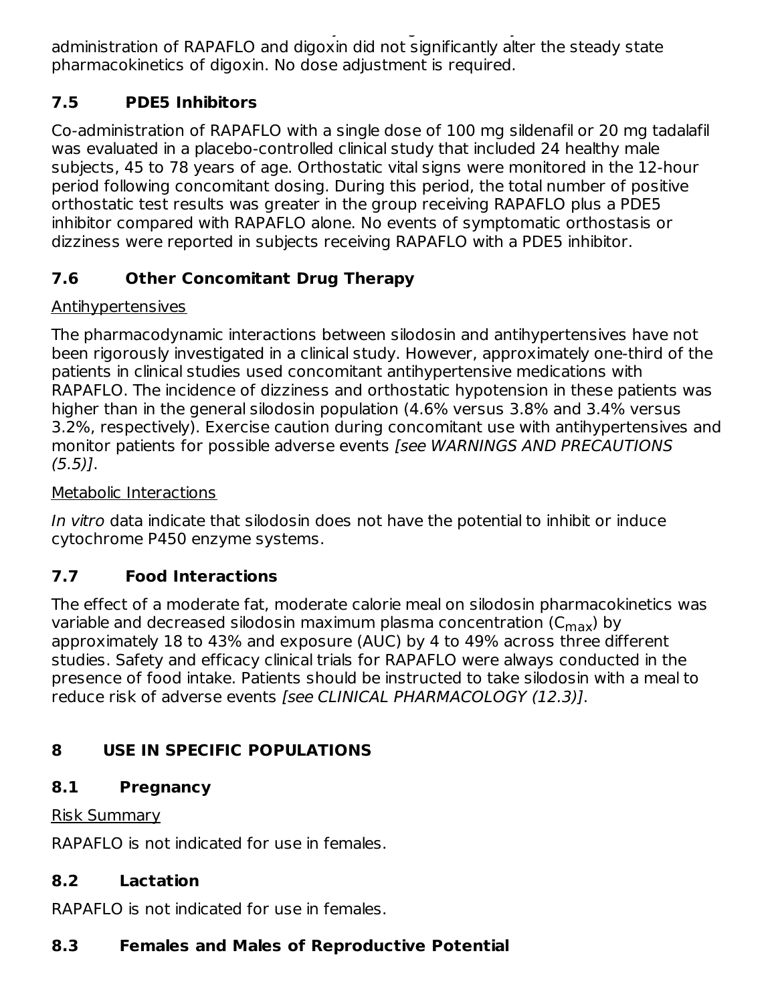evaluated in a clinical trial in 16 healthy males, aged 18 to 45 years. Concomitant administration of RAPAFLO and digoxin did not significantly alter the steady state pharmacokinetics of digoxin. No dose adjustment is required.

# **7.5 PDE5 Inhibitors**

Co-administration of RAPAFLO with a single dose of 100 mg sildenafil or 20 mg tadalafil was evaluated in a placebo-controlled clinical study that included 24 healthy male subjects, 45 to 78 years of age. Orthostatic vital signs were monitored in the 12-hour period following concomitant dosing. During this period, the total number of positive orthostatic test results was greater in the group receiving RAPAFLO plus a PDE5 inhibitor compared with RAPAFLO alone. No events of symptomatic orthostasis or dizziness were reported in subjects receiving RAPAFLO with a PDE5 inhibitor.

# **7.6 Other Concomitant Drug Therapy**

## Antihypertensives

The pharmacodynamic interactions between silodosin and antihypertensives have not been rigorously investigated in a clinical study. However, approximately one-third of the patients in clinical studies used concomitant antihypertensive medications with RAPAFLO. The incidence of dizziness and orthostatic hypotension in these patients was higher than in the general silodosin population (4.6% versus 3.8% and 3.4% versus 3.2%, respectively). Exercise caution during concomitant use with antihypertensives and monitor patients for possible adverse events [see WARNINGS AND PRECAUTIONS  $(5.5)$ ].

### Metabolic Interactions

In vitro data indicate that silodosin does not have the potential to inhibit or induce cytochrome P450 enzyme systems.

# **7.7 Food Interactions**

The effect of a moderate fat, moderate calorie meal on silodosin pharmacokinetics was variable and decreased silodosin maximum plasma concentration (C<sub>max</sub>) by approximately 18 to 43% and exposure (AUC) by 4 to 49% across three different studies. Safety and efficacy clinical trials for RAPAFLO were always conducted in the presence of food intake. Patients should be instructed to take silodosin with a meal to reduce risk of adverse events [see CLINICAL PHARMACOLOGY (12.3)].

# **8 USE IN SPECIFIC POPULATIONS**

# **8.1 Pregnancy**

### Risk Summary

RAPAFLO is not indicated for use in females.

## **8.2 Lactation**

RAPAFLO is not indicated for use in females.

# **8.3 Females and Males of Reproductive Potential**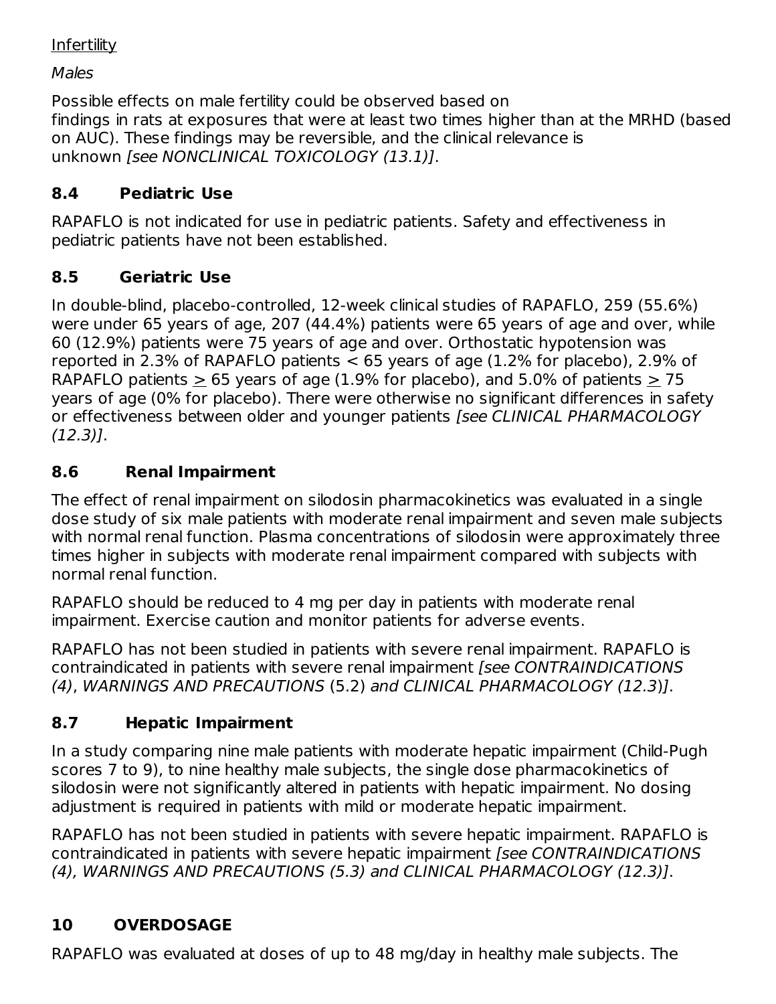#### **Infertility**

Males

Possible effects on male fertility could be observed based on findings in rats at exposures that were at least two times higher than at the MRHD (based on AUC). These findings may be reversible, and the clinical relevance is unknown [see NONCLINICAL TOXICOLOGY (13.1)].

## **8.4 Pediatric Use**

RAPAFLO is not indicated for use in pediatric patients. Safety and effectiveness in pediatric patients have not been established.

### **8.5 Geriatric Use**

In double-blind, placebo-controlled, 12-week clinical studies of RAPAFLO, 259 (55.6%) were under 65 years of age, 207 (44.4%) patients were 65 years of age and over, while 60 (12.9%) patients were 75 years of age and over. Orthostatic hypotension was reported in 2.3% of RAPAFLO patients < 65 years of age (1.2% for placebo), 2.9% of RAPAFLO patients  $> 65$  years of age (1.9% for placebo), and 5.0% of patients  $> 75$ years of age (0% for placebo). There were otherwise no significant differences in safety or effectiveness between older and younger patients [see CLINICAL PHARMACOLOGY (12.3)].

### **8.6 Renal Impairment**

The effect of renal impairment on silodosin pharmacokinetics was evaluated in a single dose study of six male patients with moderate renal impairment and seven male subjects with normal renal function. Plasma concentrations of silodosin were approximately three times higher in subjects with moderate renal impairment compared with subjects with normal renal function.

RAPAFLO should be reduced to 4 mg per day in patients with moderate renal impairment. Exercise caution and monitor patients for adverse events.

RAPAFLO has not been studied in patients with severe renal impairment. RAPAFLO is contraindicated in patients with severe renal impairment [see CONTRAINDICATIONS (4), WARNINGS AND PRECAUTIONS (5.2) and CLINICAL PHARMACOLOGY (12.3)].

## **8.7 Hepatic Impairment**

In a study comparing nine male patients with moderate hepatic impairment (Child-Pugh scores 7 to 9), to nine healthy male subjects, the single dose pharmacokinetics of silodosin were not significantly altered in patients with hepatic impairment. No dosing adjustment is required in patients with mild or moderate hepatic impairment.

RAPAFLO has not been studied in patients with severe hepatic impairment. RAPAFLO is contraindicated in patients with severe hepatic impairment [see CONTRAINDICATIONS (4), WARNINGS AND PRECAUTIONS (5.3) and CLINICAL PHARMACOLOGY (12.3)].

# **10 OVERDOSAGE**

RAPAFLO was evaluated at doses of up to 48 mg/day in healthy male subjects. The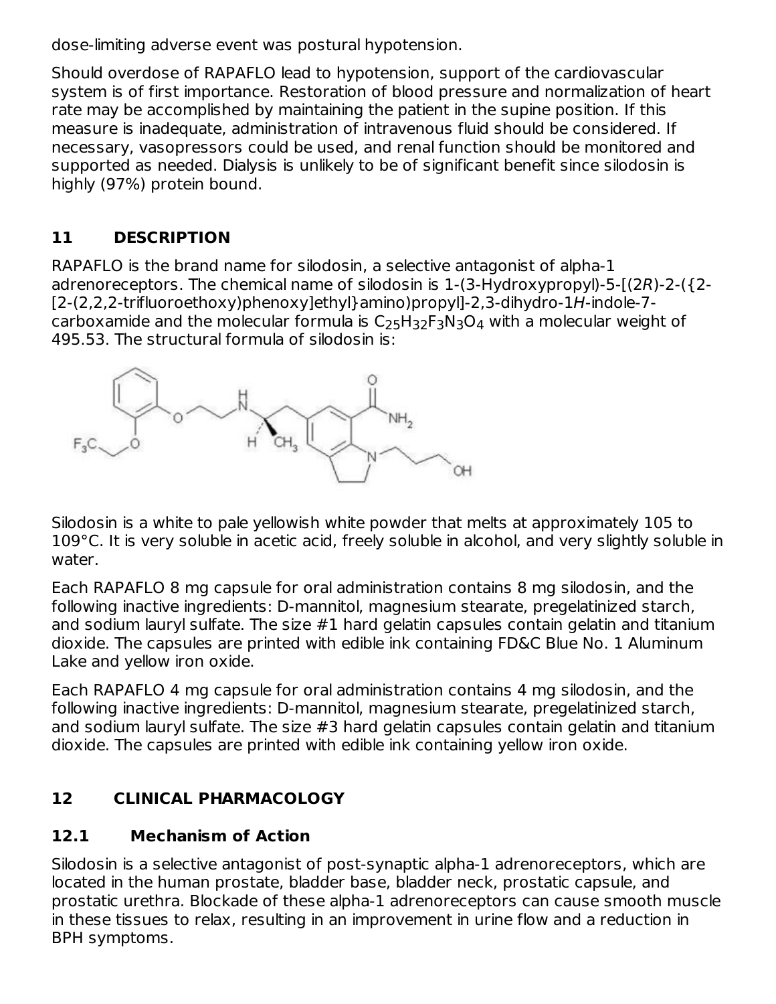dose-limiting adverse event was postural hypotension.

Should overdose of RAPAFLO lead to hypotension, support of the cardiovascular system is of first importance. Restoration of blood pressure and normalization of heart rate may be accomplished by maintaining the patient in the supine position. If this measure is inadequate, administration of intravenous fluid should be considered. If necessary, vasopressors could be used, and renal function should be monitored and supported as needed. Dialysis is unlikely to be of significant benefit since silodosin is highly (97%) protein bound.

## **11 DESCRIPTION**

RAPAFLO is the brand name for silodosin, a selective antagonist of alpha-1 adrenoreceptors. The chemical name of silodosin is 1-(3-Hydroxypropyl)-5-[(2R)-2-({2- [2-(2,2,2-trifluoroethoxy)phenoxy]ethyl}amino)propyl]-2,3-dihydro-1H-indole-7 carboxamide and the molecular formula is  $\mathsf{C}_{25}\mathsf{H}_{32}\mathsf{F}_3\mathsf{N}_3\mathsf{O}_4$  with a molecular weight of 495.53. The structural formula of silodosin is:



Silodosin is a white to pale yellowish white powder that melts at approximately 105 to 109°C. It is very soluble in acetic acid, freely soluble in alcohol, and very slightly soluble in water.

Each RAPAFLO 8 mg capsule for oral administration contains 8 mg silodosin, and the following inactive ingredients: D-mannitol, magnesium stearate, pregelatinized starch, and sodium lauryl sulfate. The size #1 hard gelatin capsules contain gelatin and titanium dioxide. The capsules are printed with edible ink containing FD&C Blue No. 1 Aluminum Lake and yellow iron oxide.

Each RAPAFLO 4 mg capsule for oral administration contains 4 mg silodosin, and the following inactive ingredients: D-mannitol, magnesium stearate, pregelatinized starch, and sodium lauryl sulfate. The size #3 hard gelatin capsules contain gelatin and titanium dioxide. The capsules are printed with edible ink containing yellow iron oxide.

## **12 CLINICAL PHARMACOLOGY**

## **12.1 Mechanism of Action**

Silodosin is a selective antagonist of post-synaptic alpha-1 adrenoreceptors, which are located in the human prostate, bladder base, bladder neck, prostatic capsule, and prostatic urethra. Blockade of these alpha-1 adrenoreceptors can cause smooth muscle in these tissues to relax, resulting in an improvement in urine flow and a reduction in BPH symptoms.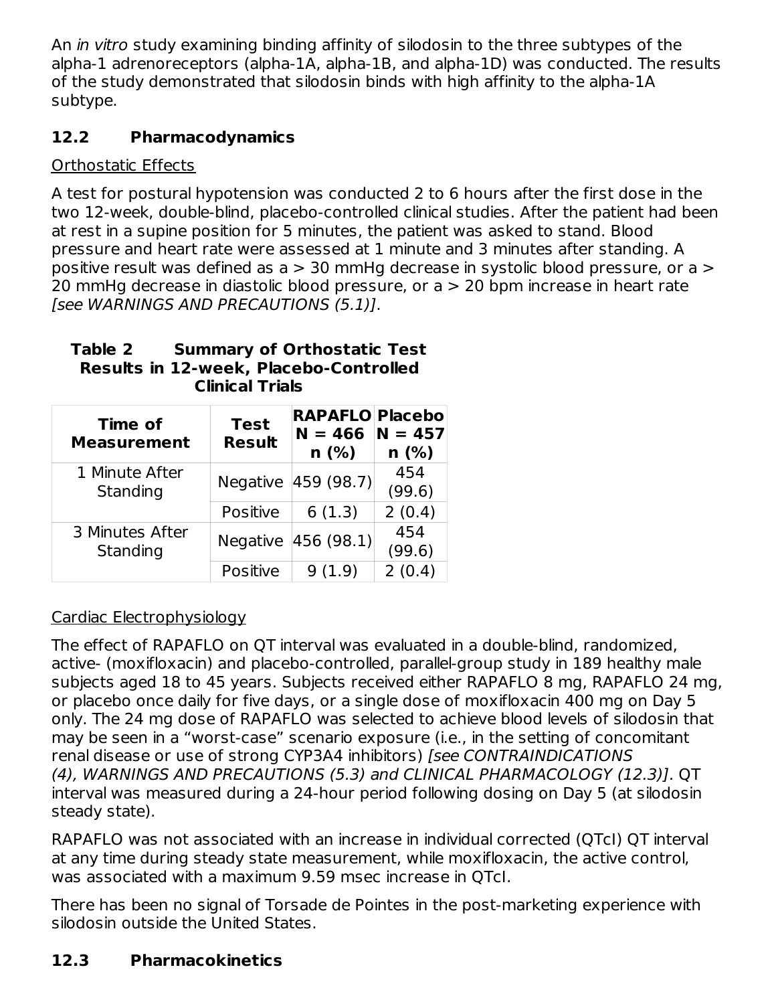An *in vitro* study examining binding affinity of silodosin to the three subtypes of the alpha-1 adrenoreceptors (alpha-1A, alpha-1B, and alpha-1D) was conducted. The results of the study demonstrated that silodosin binds with high affinity to the alpha-1A subtype.

## **12.2 Pharmacodynamics**

## Orthostatic Effects

A test for postural hypotension was conducted 2 to 6 hours after the first dose in the two 12-week, double-blind, placebo-controlled clinical studies. After the patient had been at rest in a supine position for 5 minutes, the patient was asked to stand. Blood pressure and heart rate were assessed at 1 minute and 3 minutes after standing. A positive result was defined as a > 30 mmHg decrease in systolic blood pressure, or a > 20 mmHg decrease in diastolic blood pressure, or a > 20 bpm increase in heart rate [see WARNINGS AND PRECAUTIONS (5.1)].

#### **Table 2 Summary of Orthostatic Test Results in 12-week, Placebo-Controlled Clinical Trials**

| Time of<br><b>Measurement</b> | <b>Test</b><br><b>Result</b> | <b>RAPAFLO Placebo</b><br>$N = 466$<br>$n$ (%) | $N = 457$<br>$n$ (%) |
|-------------------------------|------------------------------|------------------------------------------------|----------------------|
| 1 Minute After<br>Standing    |                              | Negative 459 (98.7)                            | 454<br>(99.6)        |
|                               | Positive                     | 6(1.3)                                         | 2(0.4)               |
| 3 Minutes After<br>Standing   |                              | Negative 456 (98.1)                            | 454<br>(99.6)        |
|                               | Positive                     | (1.9)                                          | 2(0.4)               |

## Cardiac Electrophysiology

The effect of RAPAFLO on QT interval was evaluated in a double-blind, randomized, active- (moxifloxacin) and placebo-controlled, parallel-group study in 189 healthy male subjects aged 18 to 45 years. Subjects received either RAPAFLO 8 mg, RAPAFLO 24 mg, or placebo once daily for five days, or a single dose of moxifloxacin 400 mg on Day 5 only. The 24 mg dose of RAPAFLO was selected to achieve blood levels of silodosin that may be seen in a "worst-case" scenario exposure (i.e., in the setting of concomitant renal disease or use of strong CYP3A4 inhibitors) [see CONTRAINDICATIONS (4), WARNINGS AND PRECAUTIONS (5.3) and CLINICAL PHARMACOLOGY (12.3)]. QT interval was measured during a 24-hour period following dosing on Day 5 (at silodosin steady state).

RAPAFLO was not associated with an increase in individual corrected (QTcI) QT interval at any time during steady state measurement, while moxifloxacin, the active control, was associated with a maximum 9.59 msec increase in QTcI.

There has been no signal of Torsade de Pointes in the post-marketing experience with silodosin outside the United States.

# **12.3 Pharmacokinetics**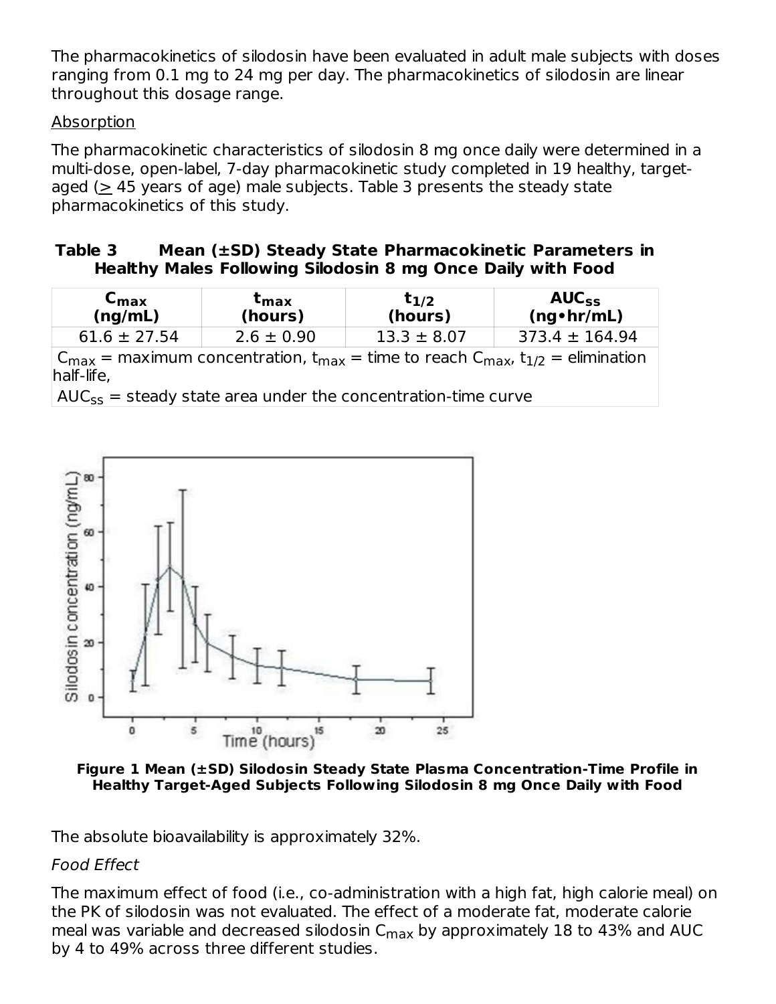The pharmacokinetics of silodosin have been evaluated in adult male subjects with doses ranging from 0.1 mg to 24 mg per day. The pharmacokinetics of silodosin are linear throughout this dosage range.

#### Absorption

The pharmacokinetic characteristics of silodosin 8 mg once daily were determined in a multi-dose, open-label, 7-day pharmacokinetic study completed in 19 healthy, targetaged ( $\geq$  45 years of age) male subjects. Table 3 presents the steady state pharmacokinetics of this study.

#### **Table 3 Mean (±SD) Steady State Pharmacokinetic Parameters in Healthy Males Following Silodosin 8 mg Once Daily with Food**

| ⊾max<br>(ng/mL)  | <sup>ւ</sup> max<br>(hours)                                                                                     | $t_{1/2}$<br>(hours) | $AUC_{SS}$<br>$(ng \cdot hr/mL)$ |
|------------------|-----------------------------------------------------------------------------------------------------------------|----------------------|----------------------------------|
| $61.6 \pm 27.54$ | $2.6 \pm 0.90$                                                                                                  | $13.3 \pm 8.07$      | $373.4 \pm 164.94$               |
|                  | the contract of the contract of the contract of the contract of the contract of the contract of the contract of | $\blacksquare$       | .                                |

 $\mathsf{C}_{\mathsf{max}} = \mathsf{max}$ imum concentration, t $_{\mathsf{max}} = \mathsf{time}$  to reach  $\mathsf{C}_{\mathsf{max}}$ , t $_{1/2} = \mathsf{elimination}$ half-life,

 $AUC_{SS}$  = steady state area under the concentration-time curve



**Figure 1 Mean (±SD) Silodosin Steady State Plasma Concentration-Time Profile in Healthy Target-Aged Subjects Following Silodosin 8 mg Once Daily with Food**

The absolute bioavailability is approximately 32%.

#### Food Effect

The maximum effect of food (i.e., co-administration with a high fat, high calorie meal) on the PK of silodosin was not evaluated. The effect of a moderate fat, moderate calorie meal was variable and decreased silodosin C $_{\sf max}$  by approximately 18 to 43% and AUC by 4 to 49% across three different studies.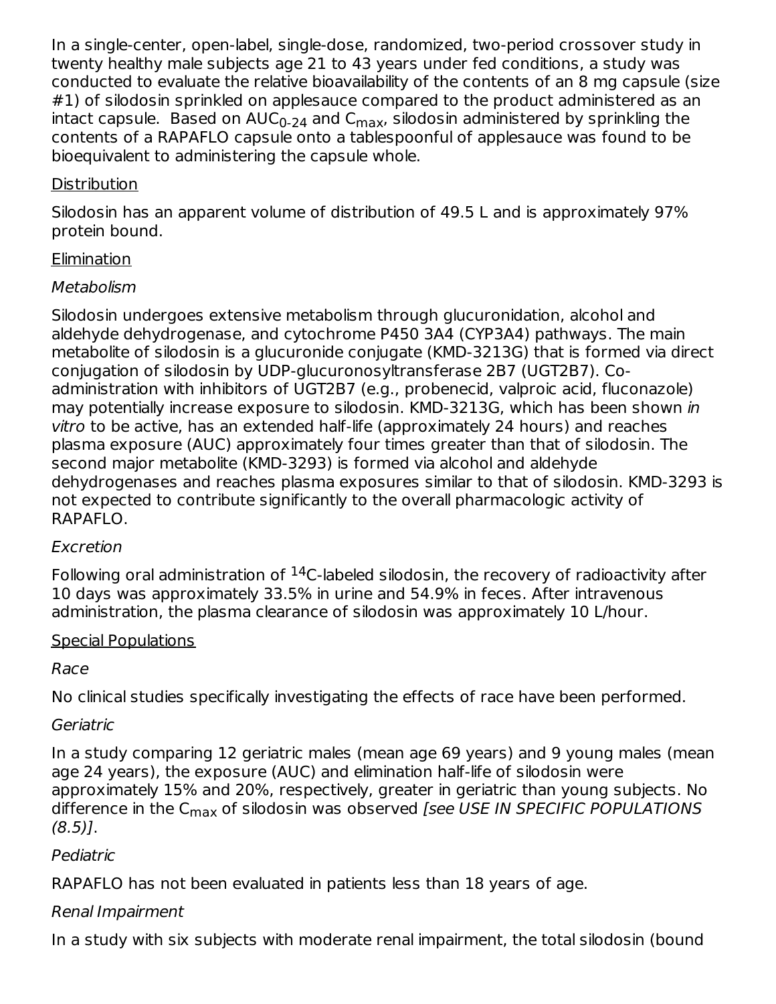In a single-center, open-label, single-dose, randomized, two-period crossover study in twenty healthy male subjects age 21 to 43 years under fed conditions, a study was conducted to evaluate the relative bioavailability of the contents of an 8 mg capsule (size #1) of silodosin sprinkled on applesauce compared to the product administered as an intact capsule. Based on AUC $_{\rm 0\text{-}24}$  and C $_{\rm max}$ , silodosin administered by sprinkling the contents of a RAPAFLO capsule onto a tablespoonful of applesauce was found to be bioequivalent to administering the capsule whole.

### **Distribution**

Silodosin has an apparent volume of distribution of 49.5 L and is approximately 97% protein bound.

## **Elimination**

### Metabolism

Silodosin undergoes extensive metabolism through glucuronidation, alcohol and aldehyde dehydrogenase, and cytochrome P450 3A4 (CYP3A4) pathways. The main metabolite of silodosin is a glucuronide conjugate (KMD-3213G) that is formed via direct conjugation of silodosin by UDP-glucuronosyltransferase 2B7 (UGT2B7). Coadministration with inhibitors of UGT2B7 (e.g., probenecid, valproic acid, fluconazole) may potentially increase exposure to silodosin. KMD-3213G, which has been shown in vitro to be active, has an extended half-life (approximately 24 hours) and reaches plasma exposure (AUC) approximately four times greater than that of silodosin. The second major metabolite (KMD-3293) is formed via alcohol and aldehyde dehydrogenases and reaches plasma exposures similar to that of silodosin. KMD-3293 is not expected to contribute significantly to the overall pharmacologic activity of RAPAFLO.

## Excretion

Following oral administration of  $^{14}$ C-labeled silodosin, the recovery of radioactivity after 10 days was approximately 33.5% in urine and 54.9% in feces. After intravenous administration, the plasma clearance of silodosin was approximately 10 L/hour.

### Special Populations

## Race

No clinical studies specifically investigating the effects of race have been performed.

### **Geriatric**

In a study comparing 12 geriatric males (mean age 69 years) and 9 young males (mean age 24 years), the exposure (AUC) and elimination half-life of silodosin were approximately 15% and 20%, respectively, greater in geriatric than young subjects. No difference in the C<sub>max</sub> of silodosin was observed *[see USE IN SPECIFIC POPULATIONS*  $(8.5)$ ].

## Pediatric

RAPAFLO has not been evaluated in patients less than 18 years of age.

## Renal Impairment

In a study with six subjects with moderate renal impairment, the total silodosin (bound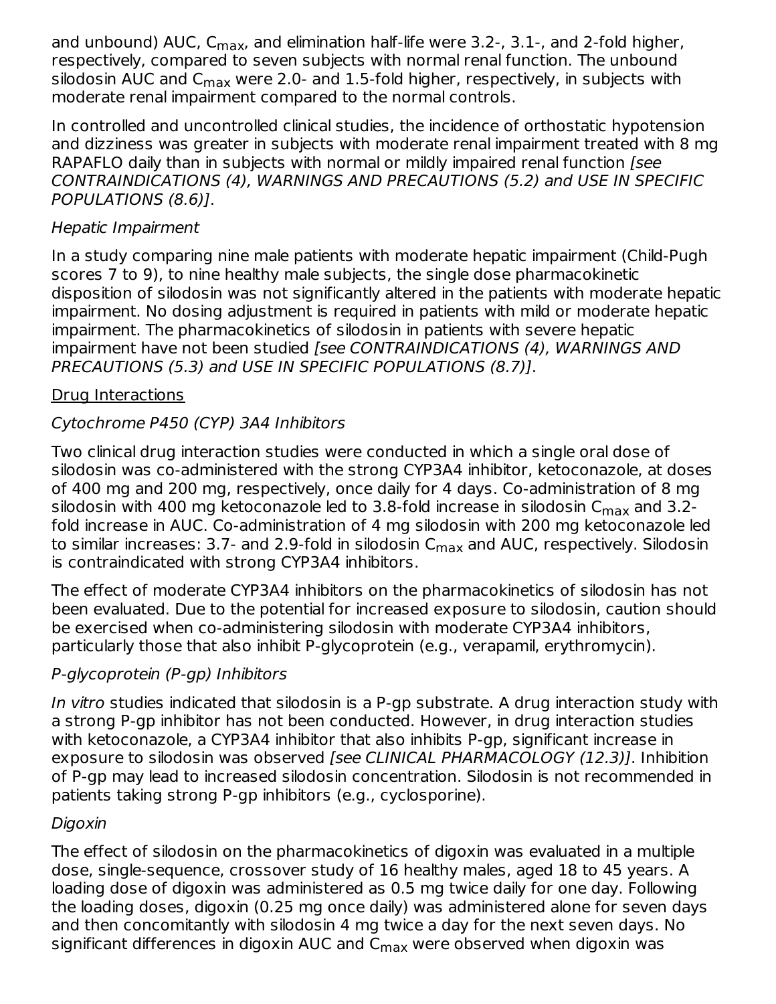and unbound) AUC, C<sub>max</sub>, and elimination half-life were 3.2-, 3.1-, and 2-fold higher, respectively, compared to seven subjects with normal renal function. The unbound silodosin AUC and  $\mathsf{C}_{\mathsf{max}}$  were 2.0- and 1.5-fold higher, respectively, in subjects with moderate renal impairment compared to the normal controls.

In controlled and uncontrolled clinical studies, the incidence of orthostatic hypotension and dizziness was greater in subjects with moderate renal impairment treated with 8 mg RAPAFLO daily than in subjects with normal or mildly impaired renal function *[see*] CONTRAINDICATIONS (4), WARNINGS AND PRECAUTIONS (5.2) and USE IN SPECIFIC POPULATIONS (8.6)].

#### Hepatic Impairment

In a study comparing nine male patients with moderate hepatic impairment (Child-Pugh scores 7 to 9), to nine healthy male subjects, the single dose pharmacokinetic disposition of silodosin was not significantly altered in the patients with moderate hepatic impairment. No dosing adjustment is required in patients with mild or moderate hepatic impairment. The pharmacokinetics of silodosin in patients with severe hepatic impairment have not been studied [see CONTRAINDICATIONS (4), WARNINGS AND PRECAUTIONS (5.3) and USE IN SPECIFIC POPULATIONS (8.7)].

#### Drug Interactions

### Cytochrome P450 (CYP) 3A4 Inhibitors

Two clinical drug interaction studies were conducted in which a single oral dose of silodosin was co-administered with the strong CYP3A4 inhibitor, ketoconazole, at doses of 400 mg and 200 mg, respectively, once daily for 4 days. Co-administration of 8 mg silodosin with 400 mg ketoconazole led to 3.8-fold increase in silodosin C $_{\sf max}$  and 3.2fold increase in AUC. Co-administration of 4 mg silodosin with 200 mg ketoconazole led to similar increases: 3.7- and 2.9-fold in silodosin  $\mathsf{C}_{\mathsf{max}}$  and AUC, respectively. Silodosin is contraindicated with strong CYP3A4 inhibitors.

The effect of moderate CYP3A4 inhibitors on the pharmacokinetics of silodosin has not been evaluated. Due to the potential for increased exposure to silodosin, caution should be exercised when co-administering silodosin with moderate CYP3A4 inhibitors, particularly those that also inhibit P-glycoprotein (e.g., verapamil, erythromycin).

### P-glycoprotein (P-gp) Inhibitors

In vitro studies indicated that silodosin is a P-gp substrate. A drug interaction study with a strong P-gp inhibitor has not been conducted. However, in drug interaction studies with ketoconazole, a CYP3A4 inhibitor that also inhibits P-gp, significant increase in exposure to silodosin was observed [see CLINICAL PHARMACOLOGY (12.3)]. Inhibition of P-gp may lead to increased silodosin concentration. Silodosin is not recommended in patients taking strong P-gp inhibitors (e.g., cyclosporine).

#### Digoxin

The effect of silodosin on the pharmacokinetics of digoxin was evaluated in a multiple dose, single-sequence, crossover study of 16 healthy males, aged 18 to 45 years. A loading dose of digoxin was administered as 0.5 mg twice daily for one day. Following the loading doses, digoxin (0.25 mg once daily) was administered alone for seven days and then concomitantly with silodosin 4 mg twice a day for the next seven days. No significant differences in digoxin AUC and  $\mathsf{C}_{\mathsf{max}}$  were observed when digoxin was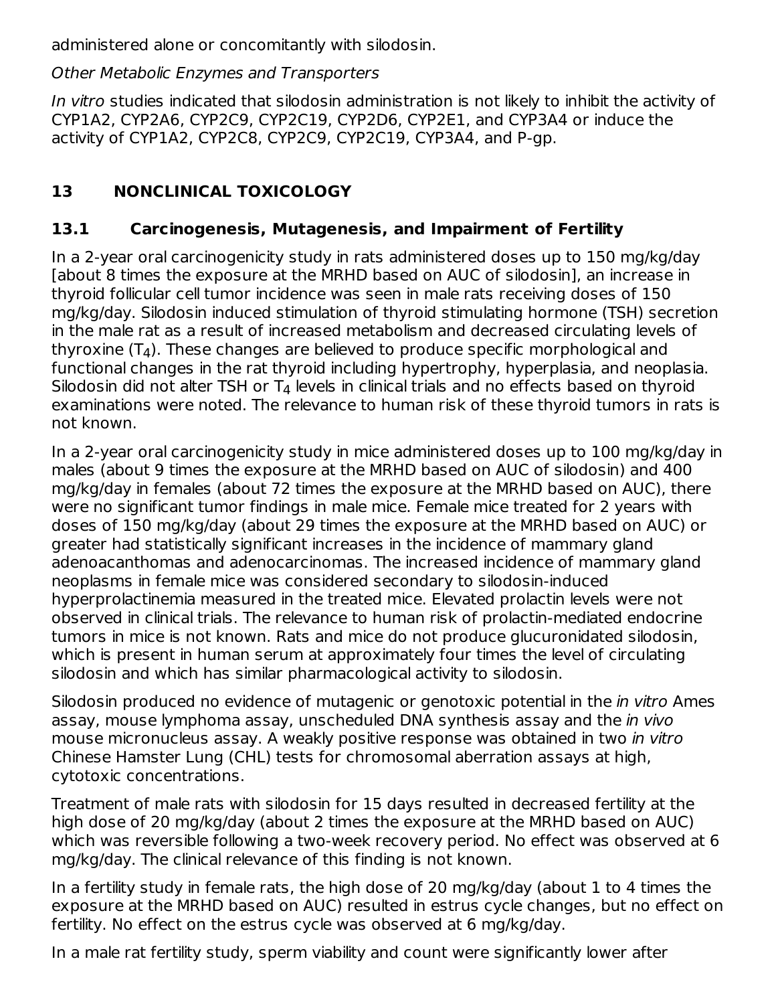administered alone or concomitantly with silodosin.

Other Metabolic Enzymes and Transporters

In vitro studies indicated that silodosin administration is not likely to inhibit the activity of CYP1A2, CYP2A6, CYP2C9, CYP2C19, CYP2D6, CYP2E1, and CYP3A4 or induce the activity of CYP1A2, CYP2C8, CYP2C9, CYP2C19, CYP3A4, and P-gp.

## **13 NONCLINICAL TOXICOLOGY**

### **13.1 Carcinogenesis, Mutagenesis, and Impairment of Fertility**

In a 2-year oral carcinogenicity study in rats administered doses up to 150 mg/kg/day [about 8 times the exposure at the MRHD based on AUC of silodosin], an increase in thyroid follicular cell tumor incidence was seen in male rats receiving doses of 150 mg/kg/day. Silodosin induced stimulation of thyroid stimulating hormone (TSH) secretion in the male rat as a result of increased metabolism and decreased circulating levels of thyroxine (T $_4$ ). These changes are believed to produce specific morphological and functional changes in the rat thyroid including hypertrophy, hyperplasia, and neoplasia. Silodosin did not alter TSH or  $T_4$  levels in clinical trials and no effects based on thyroid examinations were noted. The relevance to human risk of these thyroid tumors in rats is not known.

In a 2-year oral carcinogenicity study in mice administered doses up to 100 mg/kg/day in males (about 9 times the exposure at the MRHD based on AUC of silodosin) and 400 mg/kg/day in females (about 72 times the exposure at the MRHD based on AUC), there were no significant tumor findings in male mice. Female mice treated for 2 years with doses of 150 mg/kg/day (about 29 times the exposure at the MRHD based on AUC) or greater had statistically significant increases in the incidence of mammary gland adenoacanthomas and adenocarcinomas. The increased incidence of mammary gland neoplasms in female mice was considered secondary to silodosin-induced hyperprolactinemia measured in the treated mice. Elevated prolactin levels were not observed in clinical trials. The relevance to human risk of prolactin-mediated endocrine tumors in mice is not known. Rats and mice do not produce glucuronidated silodosin, which is present in human serum at approximately four times the level of circulating silodosin and which has similar pharmacological activity to silodosin.

Silodosin produced no evidence of mutagenic or genotoxic potential in the *in vitro* Ames assay, mouse lymphoma assay, unscheduled DNA synthesis assay and the in vivo mouse micronucleus assay. A weakly positive response was obtained in two in vitro Chinese Hamster Lung (CHL) tests for chromosomal aberration assays at high, cytotoxic concentrations.

Treatment of male rats with silodosin for 15 days resulted in decreased fertility at the high dose of 20 mg/kg/day (about 2 times the exposure at the MRHD based on AUC) which was reversible following a two-week recovery period. No effect was observed at 6 mg/kg/day. The clinical relevance of this finding is not known.

In a fertility study in female rats, the high dose of 20 mg/kg/day (about 1 to 4 times the exposure at the MRHD based on AUC) resulted in estrus cycle changes, but no effect on fertility. No effect on the estrus cycle was observed at 6 mg/kg/day.

In a male rat fertility study, sperm viability and count were significantly lower after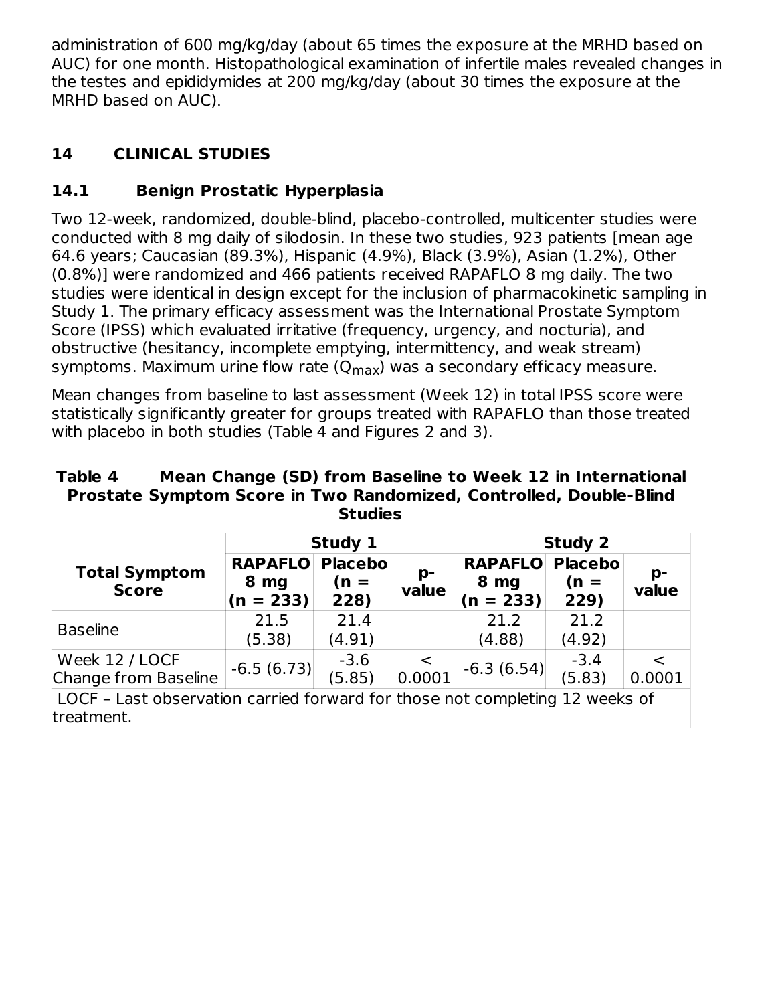administration of 600 mg/kg/day (about 65 times the exposure at the MRHD based on AUC) for one month. Histopathological examination of infertile males revealed changes in the testes and epididymides at 200 mg/kg/day (about 30 times the exposure at the MRHD based on AUC).

## **14 CLINICAL STUDIES**

## **14.1 Benign Prostatic Hyperplasia**

Two 12-week, randomized, double-blind, placebo-controlled, multicenter studies were conducted with 8 mg daily of silodosin. In these two studies, 923 patients [mean age 64.6 years; Caucasian (89.3%), Hispanic (4.9%), Black (3.9%), Asian (1.2%), Other (0.8%)] were randomized and 466 patients received RAPAFLO 8 mg daily. The two studies were identical in design except for the inclusion of pharmacokinetic sampling in Study 1. The primary efficacy assessment was the International Prostate Symptom Score (IPSS) which evaluated irritative (frequency, urgency, and nocturia), and obstructive (hesitancy, incomplete emptying, intermittency, and weak stream) symptoms. Maximum urine flow rate (Q<sub>max</sub>) was a secondary efficacy measure.

Mean changes from baseline to last assessment (Week 12) in total IPSS score were statistically significantly greater for groups treated with RAPAFLO than those treated with placebo in both studies (Table 4 and Figures 2 and 3).

#### **Table 4 Mean Change (SD) from Baseline to Week 12 in International Prostate Symptom Score in Two Randomized, Controlled, Double-Blind Studies**

|                                                                                            |                                       | Study 1                           |                   | <b>Study 2</b>                        |                                  |             |  |
|--------------------------------------------------------------------------------------------|---------------------------------------|-----------------------------------|-------------------|---------------------------------------|----------------------------------|-------------|--|
| <b>Total Symptom</b><br><b>Score</b>                                                       | <b>RAPAFLO</b><br>8 mg<br>$(n = 233)$ | <b>Placebol</b><br>$(n =$<br>228) | p-<br>value       | <b>RAPAFLO</b><br>8 mg<br>$(n = 233)$ | <b>Placebo</b><br>$(n =$<br>229) | p-<br>value |  |
| <b>Baseline</b>                                                                            | 21.5<br>(5.38)                        | 21.4<br>(4.91)                    |                   | 21.2<br>(4.88)                        | 21.2<br>(4.92)                   |             |  |
| Week 12 / LOCF<br>Change from Baseline                                                     | $-6.5(6.73)$                          | $-3.6$<br>(5.85)                  | $\prec$<br>0.0001 | $-6.3(6.54)$                          | $-3.4$<br>(5.83)                 | 0.0001      |  |
| LOCF - Last observation carried forward for those not completing 12 weeks of<br>treatment. |                                       |                                   |                   |                                       |                                  |             |  |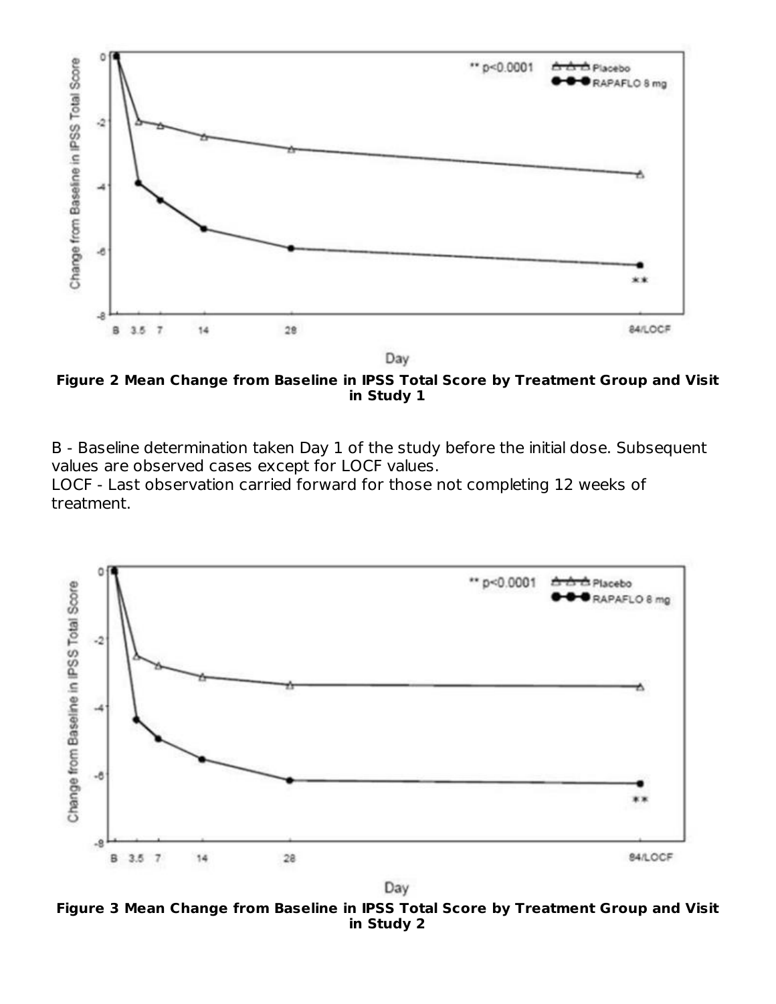

Day

**Figure 2 Mean Change from Baseline in IPSS Total Score by Treatment Group and Visit in Study 1**

B - Baseline determination taken Day 1 of the study before the initial dose. Subsequent values are observed cases except for LOCF values.

LOCF - Last observation carried forward for those not completing 12 weeks of treatment.



Day

**Figure 3 Mean Change from Baseline in IPSS Total Score by Treatment Group and Visit in Study 2**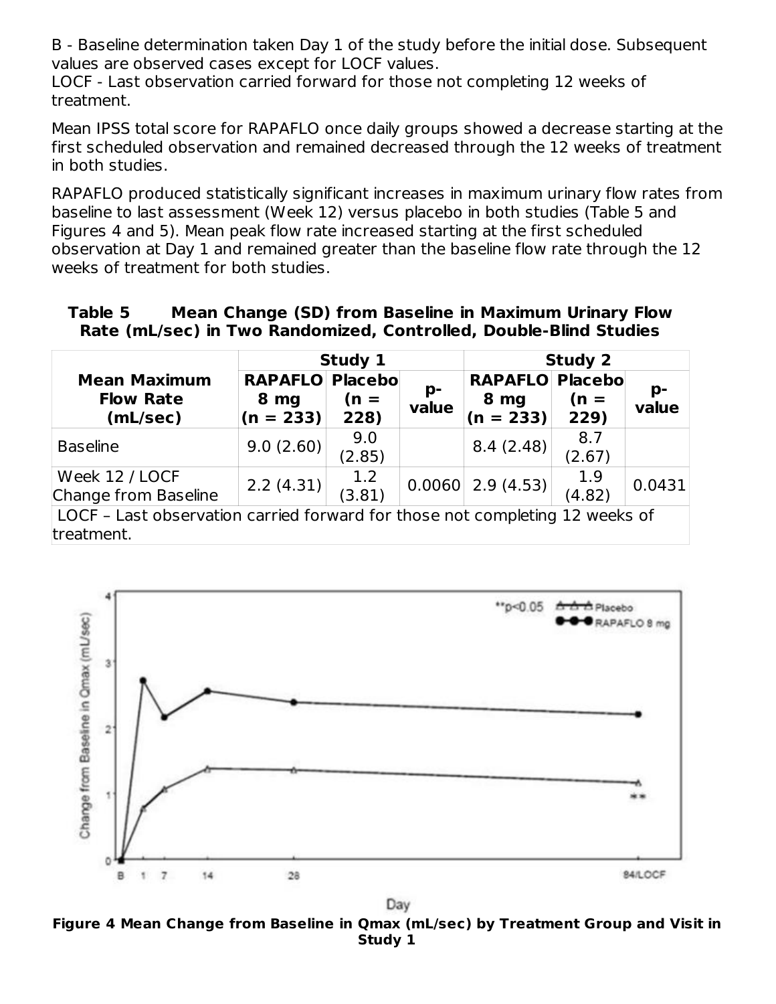B - Baseline determination taken Day 1 of the study before the initial dose. Subsequent values are observed cases except for LOCF values.

LOCF - Last observation carried forward for those not completing 12 weeks of treatment.

Mean IPSS total score for RAPAFLO once daily groups showed a decrease starting at the first scheduled observation and remained decreased through the 12 weeks of treatment in both studies.

RAPAFLO produced statistically significant increases in maximum urinary flow rates from baseline to last assessment (Week 12) versus placebo in both studies (Table 5 and Figures 4 and 5). Mean peak flow rate increased starting at the first scheduled observation at Day 1 and remained greater than the baseline flow rate through the 12 weeks of treatment for both studies.

#### **Table 5 Mean Change (SD) from Baseline in Maximum Urinary Flow Rate (mL/sec) in Two Randomized, Controlled, Double-Blind Studies**

|                                                                                            |                                       | Study 1                           |             |                                               | <b>Study 2</b> |             |  |  |
|--------------------------------------------------------------------------------------------|---------------------------------------|-----------------------------------|-------------|-----------------------------------------------|----------------|-------------|--|--|
| <b>Mean Maximum</b><br><b>Flow Rate</b><br>(mL/sec)                                        | <b>RAPAFLO</b><br>8 mg<br>$(n = 233)$ | <b>Placebol</b><br>$(n =$<br>228) | p-<br>value | <b>RAPAFLO Placebo</b><br>8 mg<br>$(n = 233)$ | $(n =$<br>229) | p-<br>value |  |  |
| <b>Baseline</b>                                                                            | 9.0(2.60)                             | 9.0<br>(2.85)                     |             | 8.4(2.48)                                     | 8.7<br>(2.67)  |             |  |  |
| Week 12 / LOCF<br>Change from Baseline                                                     | 2.2(4.31)                             | 1.2<br>(3.81)                     |             | $0.0060$ 2.9 (4.53)                           | 1.9<br>(4.82)  | 0.0431      |  |  |
| LOCF - Last observation carried forward for those not completing 12 weeks of<br>treatment. |                                       |                                   |             |                                               |                |             |  |  |



Day

**Figure 4 Mean Change from Baseline in Qmax (mL/sec) by Treatment Group and Visit in Study 1**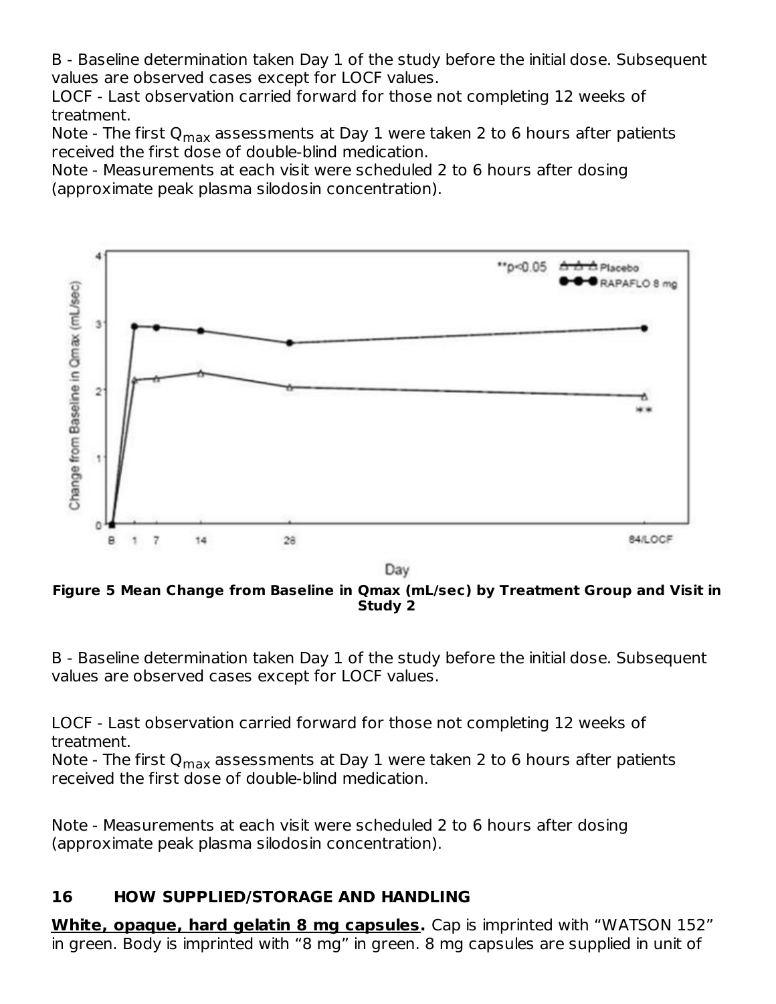B - Baseline determination taken Day 1 of the study before the initial dose. Subsequent values are observed cases except for LOCF values.

LOCF - Last observation carried forward for those not completing 12 weeks of treatment.

Note - The first Q<sub>max</sub> assessments at Day 1 were taken 2 to 6 hours after patients received the first dose of double-blind medication.

Note - Measurements at each visit were scheduled 2 to 6 hours after dosing (approximate peak plasma silodosin concentration).



Day

**Figure 5 Mean Change from Baseline in Qmax (mL/sec) by Treatment Group and Visit in Study 2**

B - Baseline determination taken Day 1 of the study before the initial dose. Subsequent values are observed cases except for LOCF values.

LOCF - Last observation carried forward for those not completing 12 weeks of treatment.

Note - The first Q<sub>max</sub> assessments at Day 1 were taken 2 to 6 hours after patients received the first dose of double-blind medication.

Note - Measurements at each visit were scheduled 2 to 6 hours after dosing (approximate peak plasma silodosin concentration).

#### **16 HOW SUPPLIED/STORAGE AND HANDLING**

**White, opaque, hard gelatin 8 mg capsules.** Cap is imprinted with "WATSON 152" in green. Body is imprinted with "8 mg" in green. 8 mg capsules are supplied in unit of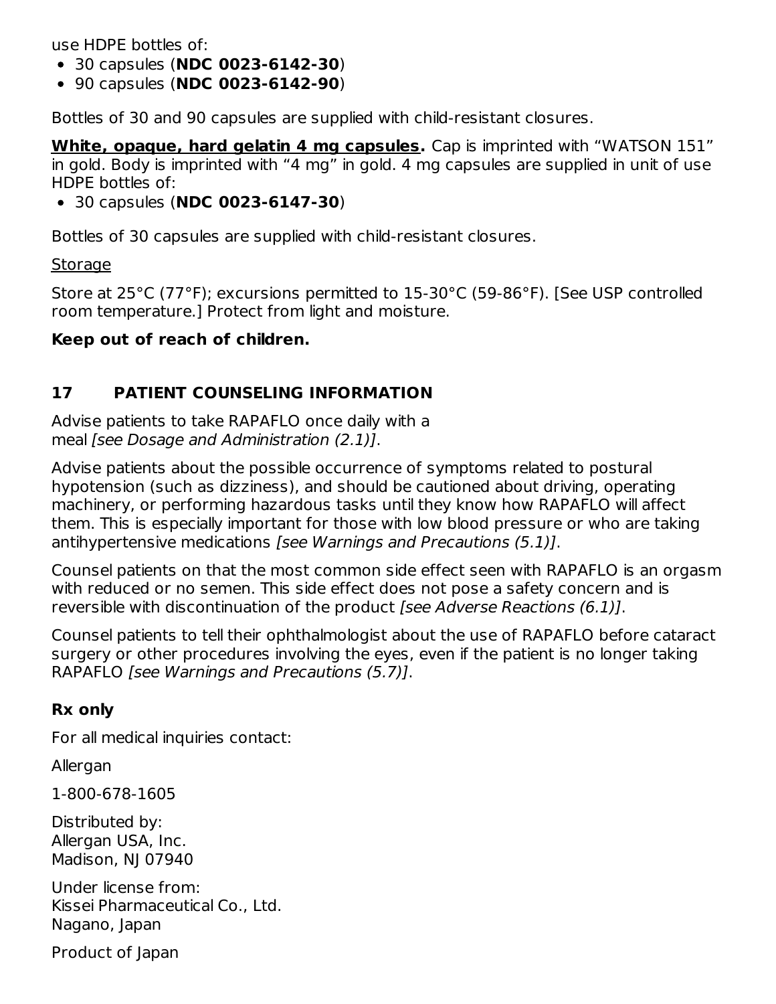use HDPE bottles of:

- 30 capsules (**NDC 0023-6142-30**)
- 90 capsules (**NDC 0023-6142-90**)

Bottles of 30 and 90 capsules are supplied with child-resistant closures.

**White, opaque, hard gelatin 4 mg capsules.** Cap is imprinted with "WATSON 151" in gold. Body is imprinted with "4 mg" in gold. 4 mg capsules are supplied in unit of use HDPE bottles of:

30 capsules (**NDC 0023-6147-30**)

Bottles of 30 capsules are supplied with child-resistant closures.

**Storage** 

Store at 25°C (77°F); excursions permitted to 15-30°C (59-86°F). [See USP controlled room temperature.] Protect from light and moisture.

#### **Keep out of reach of children.**

### **17 PATIENT COUNSELING INFORMATION**

Advise patients to take RAPAFLO once daily with a meal [see Dosage and Administration (2.1)].

Advise patients about the possible occurrence of symptoms related to postural hypotension (such as dizziness), and should be cautioned about driving, operating machinery, or performing hazardous tasks until they know how RAPAFLO will affect them. This is especially important for those with low blood pressure or who are taking antihypertensive medications [see Warnings and Precautions (5.1)].

Counsel patients on that the most common side effect seen with RAPAFLO is an orgasm with reduced or no semen. This side effect does not pose a safety concern and is reversible with discontinuation of the product [see Adverse Reactions (6.1)].

Counsel patients to tell their ophthalmologist about the use of RAPAFLO before cataract surgery or other procedures involving the eyes, even if the patient is no longer taking RAPAFLO [see Warnings and Precautions (5.7)].

#### **Rx only**

For all medical inquiries contact:

Allergan

1-800-678-1605

Distributed by: Allergan USA, Inc. Madison, NJ 07940

Under license from: Kissei Pharmaceutical Co., Ltd. Nagano, Japan

Product of Japan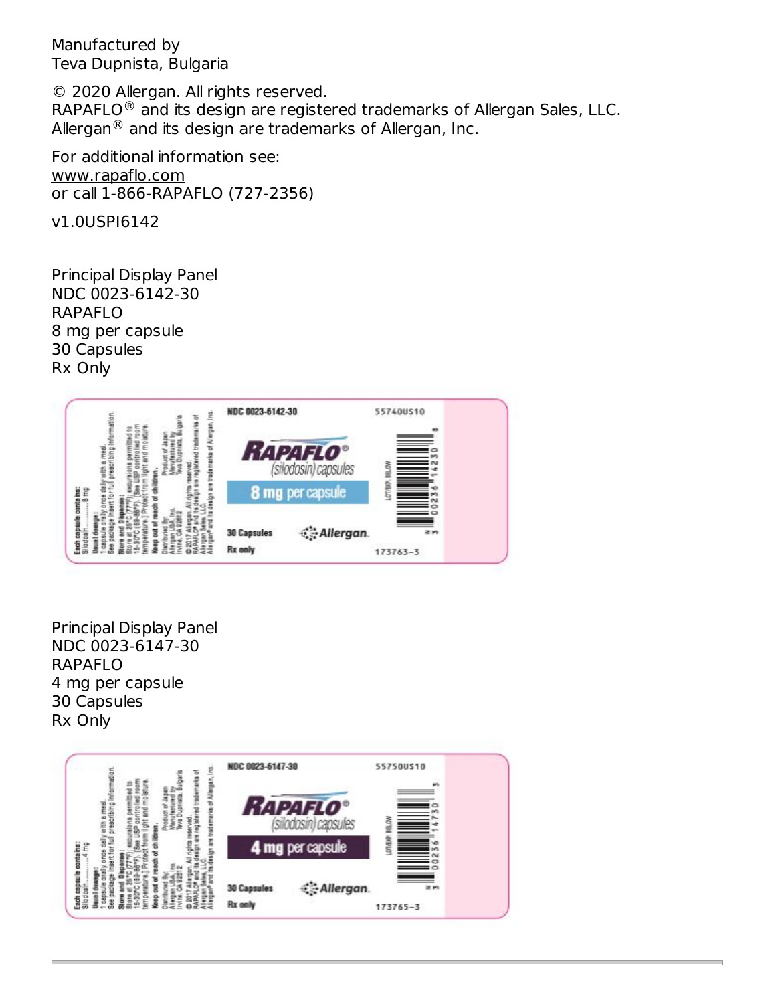Manufactured by Teva Dupnista, Bulgaria

© 2020 Allergan. All rights reserved. RAPAFLO $^\circledR$  and its design are registered trademarks of Allergan Sales, LLC. Allergan $^\circledR$  and its design are trademarks of Allergan, Inc.

For additional information see: www.rapaflo.com or call 1-866-RAPAFLO (727-2356)

v1.0USPI6142

Principal Display Panel NDC 0023-6142-30 RAPAFLO 8 mg per capsule 30 Capsules Rx Only



Principal Display Panel NDC 0023-6147-30 RAPAFLO 4 mg per capsule 30 Capsules Rx Only

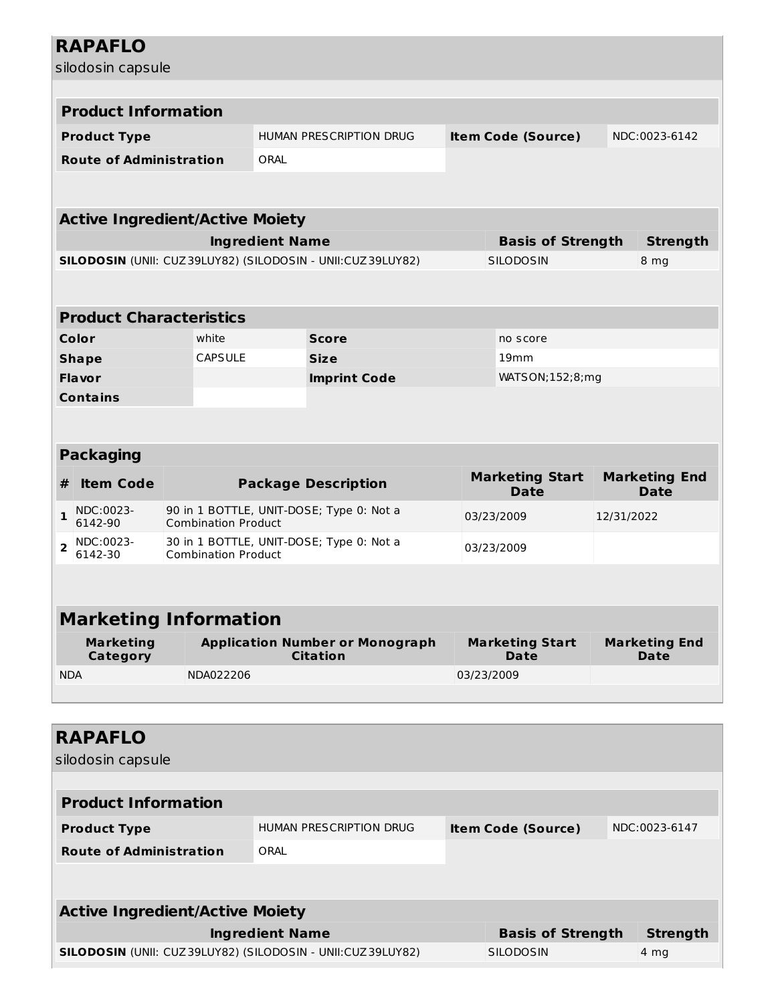|                                | <b>RAPAFLO</b>                         |  |                            |                        |                                                            |            |            |                                       |                              |                              |
|--------------------------------|----------------------------------------|--|----------------------------|------------------------|------------------------------------------------------------|------------|------------|---------------------------------------|------------------------------|------------------------------|
|                                | silodosin capsule                      |  |                            |                        |                                                            |            |            |                                       |                              |                              |
|                                |                                        |  |                            |                        |                                                            |            |            |                                       |                              |                              |
|                                | <b>Product Information</b>             |  |                            |                        |                                                            |            |            |                                       |                              |                              |
| <b>Product Type</b>            |                                        |  |                            |                        | HUMAN PRESCRIPTION DRUG                                    |            |            | <b>Item Code (Source)</b>             |                              | NDC:0023-6142                |
| <b>Route of Administration</b> |                                        |  |                            | ORAL                   |                                                            |            |            |                                       |                              |                              |
|                                |                                        |  |                            |                        |                                                            |            |            |                                       |                              |                              |
|                                |                                        |  |                            |                        |                                                            |            |            |                                       |                              |                              |
|                                | <b>Active Ingredient/Active Moiety</b> |  |                            |                        |                                                            |            |            |                                       |                              |                              |
|                                |                                        |  |                            | <b>Ingredient Name</b> |                                                            |            |            | <b>Basis of Strength</b>              |                              | <b>Strength</b>              |
|                                |                                        |  |                            |                        | SILODOSIN (UNII: CUZ39LUY82) (SILODOSIN - UNII:CUZ39LUY82) |            |            | <b>SILODOSIN</b>                      |                              | 8 mg                         |
|                                |                                        |  |                            |                        |                                                            |            |            |                                       |                              |                              |
|                                | <b>Product Characteristics</b>         |  |                            |                        |                                                            |            |            |                                       |                              |                              |
|                                | Color                                  |  | white                      |                        | <b>Score</b>                                               |            |            | no score                              |                              |                              |
|                                | <b>Shape</b>                           |  | <b>CAPSULE</b>             |                        | <b>Size</b>                                                |            |            | 19mm                                  |                              |                              |
|                                | <b>Flavor</b>                          |  |                            |                        | <b>Imprint Code</b>                                        |            |            | WATSON; 152; 8; mg                    |                              |                              |
|                                | <b>Contains</b>                        |  |                            |                        |                                                            |            |            |                                       |                              |                              |
|                                |                                        |  |                            |                        |                                                            |            |            |                                       |                              |                              |
|                                |                                        |  |                            |                        |                                                            |            |            |                                       |                              |                              |
|                                | <b>Packaging</b>                       |  |                            |                        |                                                            |            |            |                                       |                              |                              |
| #                              | <b>Item Code</b>                       |  |                            |                        | <b>Package Description</b>                                 |            |            | <b>Marketing Start</b><br><b>Date</b> | <b>Marketing End</b><br>Date |                              |
| $\mathbf{1}$                   | NDC:0023-<br>6142-90                   |  | <b>Combination Product</b> |                        | 90 in 1 BOTTLE, UNIT-DOSE; Type 0: Not a                   |            | 03/23/2009 |                                       | 12/31/2022                   |                              |
| $\overline{2}$                 | NDC:0023-<br>6142-30                   |  | <b>Combination Product</b> |                        | 30 in 1 BOTTLE, UNIT-DOSE; Type 0: Not a                   | 03/23/2009 |            |                                       |                              |                              |
|                                |                                        |  |                            |                        |                                                            |            |            |                                       |                              |                              |
|                                | <b>Marketing Information</b>           |  |                            |                        |                                                            |            |            |                                       |                              |                              |
|                                | <b>Marketing</b><br>Category           |  |                            |                        | <b>Application Number or Monograph</b><br><b>Citation</b>  |            |            | <b>Marketing Start</b><br>Date        |                              | <b>Marketing End</b><br>Date |
| <b>NDA</b>                     |                                        |  | NDA022206                  |                        |                                                            |            |            | 03/23/2009                            |                              |                              |
|                                |                                        |  |                            |                        |                                                            |            |            |                                       |                              |                              |
|                                |                                        |  |                            |                        |                                                            |            |            |                                       |                              |                              |
|                                | <b>RAPAFLO</b>                         |  |                            |                        |                                                            |            |            |                                       |                              |                              |
|                                | silodosin capsule                      |  |                            |                        |                                                            |            |            |                                       |                              |                              |
|                                |                                        |  |                            |                        |                                                            |            |            |                                       |                              |                              |
| <b>Product Information</b>     |                                        |  |                            |                        |                                                            |            |            |                                       |                              |                              |
|                                | <b>Product Type</b>                    |  |                            |                        | HUMAN PRESCRIPTION DRUG                                    |            |            | <b>Item Code (Source)</b>             |                              | NDC:0023-6147                |
| <b>Route of Administration</b> |                                        |  | ORAL                       |                        |                                                            |            |            |                                       |                              |                              |
|                                |                                        |  |                            |                        |                                                            |            |            |                                       |                              |                              |
|                                |                                        |  |                            |                        |                                                            |            |            |                                       |                              |                              |

| <b>Active Ingredient/Active Moiety</b>                            |                          |          |  |  |  |  |
|-------------------------------------------------------------------|--------------------------|----------|--|--|--|--|
| Ingredient Name                                                   | <b>Basis of Strength</b> | Strenath |  |  |  |  |
| <b>SILODOSIN</b> (UNII: CUZ39LUY82) (SILODOSIN - UNII:CUZ39LUY82) | <b>SILODOSIN</b>         | 4 mg     |  |  |  |  |